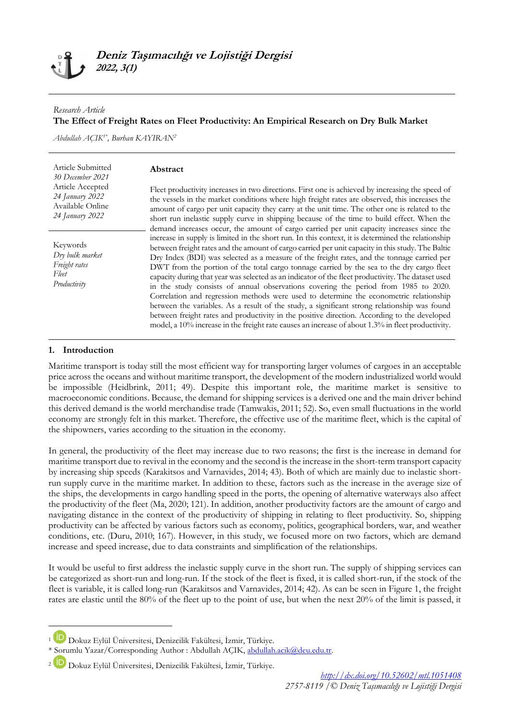### *Research Article*

### **The Effect of Freight Rates on Fleet Productivity: An Empirical Research on Dry Bulk Market**

*Abdullah AÇIK1\* , Burhan KAYIRAN<sup>2</sup>*

| Article Submitted                                                     | Abstract                                                                                                                                                                                                                                                                                                                                                                                                                                                                                                                                                                                                                                                                                                                                                                                                                                                                                                                                                                                        |
|-----------------------------------------------------------------------|-------------------------------------------------------------------------------------------------------------------------------------------------------------------------------------------------------------------------------------------------------------------------------------------------------------------------------------------------------------------------------------------------------------------------------------------------------------------------------------------------------------------------------------------------------------------------------------------------------------------------------------------------------------------------------------------------------------------------------------------------------------------------------------------------------------------------------------------------------------------------------------------------------------------------------------------------------------------------------------------------|
| 30 December 2021                                                      | Fleet productivity increases in two directions. First one is achieved by increasing the speed of                                                                                                                                                                                                                                                                                                                                                                                                                                                                                                                                                                                                                                                                                                                                                                                                                                                                                                |
| Article Accepted                                                      | the vessels in the market conditions where high freight rates are observed, this increases the                                                                                                                                                                                                                                                                                                                                                                                                                                                                                                                                                                                                                                                                                                                                                                                                                                                                                                  |
| 24 January 2022                                                       | amount of cargo per unit capacity they carry at the unit time. The other one is related to the                                                                                                                                                                                                                                                                                                                                                                                                                                                                                                                                                                                                                                                                                                                                                                                                                                                                                                  |
| Available Online                                                      | short run inelastic supply curve in shipping because of the time to build effect. When the                                                                                                                                                                                                                                                                                                                                                                                                                                                                                                                                                                                                                                                                                                                                                                                                                                                                                                      |
| 24 January 2022                                                       | demand increases occur, the amount of cargo carried per unit capacity increases since the                                                                                                                                                                                                                                                                                                                                                                                                                                                                                                                                                                                                                                                                                                                                                                                                                                                                                                       |
| Keywords<br>Dry bulk market<br>Freight rates<br>Fleet<br>Productivity | increase in supply is limited in the short run. In this context, it is determined the relationship<br>between freight rates and the amount of cargo carried per unit capacity in this study. The Baltic<br>Dry Index (BDI) was selected as a measure of the freight rates, and the tonnage carried per<br>DWT from the portion of the total cargo tonnage carried by the sea to the dry cargo fleet<br>capacity during that year was selected as an indicator of the fleet productivity. The dataset used<br>in the study consists of annual observations covering the period from 1985 to 2020.<br>Correlation and regression methods were used to determine the econometric relationship<br>between the variables. As a result of the study, a significant strong relationship was found<br>between freight rates and productivity in the positive direction. According to the developed<br>model, a 10% increase in the freight rate causes an increase of about 1.3% in fleet productivity. |

### **1. Introduction**

1

Maritime transport is today still the most efficient way for transporting larger volumes of cargoes in an acceptable price across the oceans and without maritime transport, the development of the modern industrialized world would be impossible (Heidbrink, 2011; 49). Despite this important role, the maritime market is sensitive to macroeconomic conditions. Because, the demand for shipping services is a derived one and the main driver behind this derived demand is the world merchandise trade (Tamwakis, 2011; 52). So, even small fluctuations in the world economy are strongly felt in this market. Therefore, the effective use of the maritime fleet, which is the capital of the shipowners, varies according to the situation in the economy.

In general, the productivity of the fleet may increase due to two reasons; the first is the increase in demand for maritime transport due to revival in the economy and the second is the increase in the short-term transport capacity by increasing ship speeds (Karakitsos and Varnavides, 2014; 43). Both of which are mainly due to inelastic shortrun supply curve in the maritime market. In addition to these, factors such as the increase in the average size of the ships, the developments in cargo handling speed in the ports, the opening of alternative waterways also affect the productivity of the fleet (Ma, 2020; 121). In addition, another productivity factors are the amount of cargo and navigating distance in the context of the productivity of shipping in relating to fleet productivity. So, shipping productivity can be affected by various factors such as economy, politics, geographical borders, war, and weather conditions, etc. (Duru, 2010; 167). However, in this study, we focused more on two factors, which are demand increase and speed increase, due to data constraints and simplification of the relationships.

It would be useful to first address the inelastic supply curve in the short run. The supply of shipping services can be categorized as short-run and long-run. If the stock of the fleet is fixed, it is called short-run, if the stock of the fleet is variable, it is called long-run (Karakitsos and Varnavides, 2014; 42). As can be seen in Figure 1, the freight rates are elastic until the 80% of the fleet up to the point of use, but when the next 20% of the limit is passed, it

<sup>1</sup> Dokuz Eylül Üniversitesi, Denizcilik Fakültesi, İzmir, Türkiye.

<sup>\*</sup> Sorumlu Yazar/Corresponding Author : Abdullah AÇIK, [abdullah.acik@deu.edu.tr.](mailto:abdullah.acik@deu.edu.tr)

<sup>2</sup> Dokuz Eylül Üniversitesi, Denizcilik Fakültesi, İzmir, Türkiye.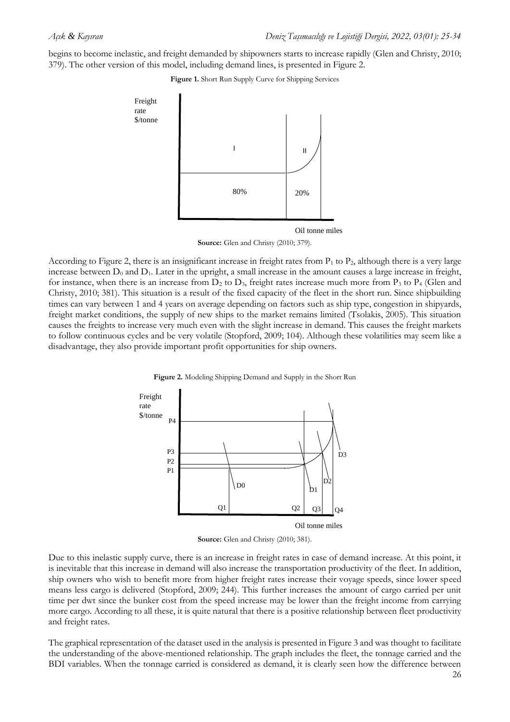begins to become inelastic, and freight demanded by shipowners starts to increase rapidly (Glen and Christy, 2010; 379). The other version of this model, including demand lines, is presented in Figure 2.

**Figure 1.** Short Run Supply Curve for Shipping Services



**Source:** Glen and Christy (2010; 379).

According to Figure 2, there is an insignificant increase in freight rates from  $P_1$  to  $P_2$ , although there is a very large increase between  $D_0$  and  $D_1$ . Later in the upright, a small increase in the amount causes a large increase in freight, for instance, when there is an increase from  $D_2$  to  $D_3$ , freight rates increase much more from  $P_3$  to  $P_4$  (Glen and Christy, 2010; 381). This situation is a result of the fixed capacity of the fleet in the short run. Since shipbuilding times can vary between 1 and 4 years on average depending on factors such as ship type, congestion in shipyards, freight market conditions, the supply of new ships to the market remains limited (Tsolakis, 2005). This situation causes the freights to increase very much even with the slight increase in demand. This causes the freight markets to follow continuous cycles and be very volatile (Stopford, 2009; 104). Although these volatilities may seem like a disadvantage, they also provide important profit opportunities for ship owners.





Oil tonne miles

**Source:** Glen and Christy (2010; 381).

Due to this inelastic supply curve, there is an increase in freight rates in case of demand increase. At this point, it is inevitable that this increase in demand will also increase the transportation productivity of the fleet. In addition, ship owners who wish to benefit more from higher freight rates increase their voyage speeds, since lower speed means less cargo is delivered (Stopford, 2009; 244). This further increases the amount of cargo carried per unit time per dwt since the bunker cost from the speed increase may be lower than the freight income from carrying more cargo. According to all these, it is quite natural that there is a positive relationship between fleet productivity and freight rates.

The graphical representation of the dataset used in the analysis is presented in Figure 3 and was thought to facilitate the understanding of the above-mentioned relationship. The graph includes the fleet, the tonnage carried and the BDI variables. When the tonnage carried is considered as demand, it is clearly seen how the difference between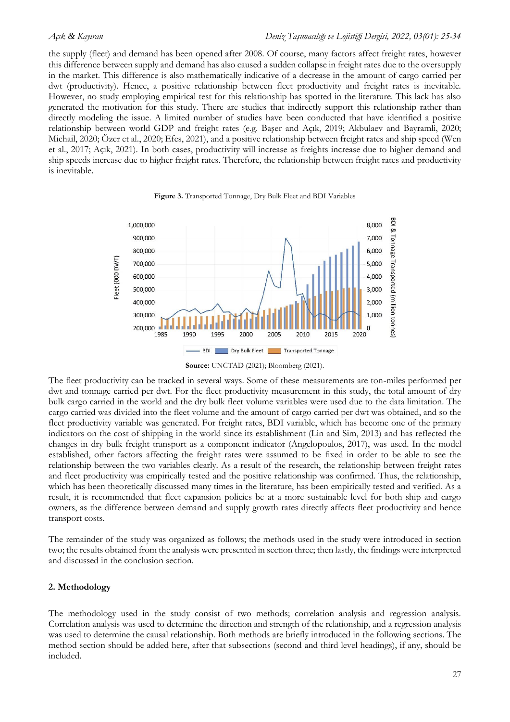the supply (fleet) and demand has been opened after 2008. Of course, many factors affect freight rates, however this difference between supply and demand has also caused a sudden collapse in freight rates due to the oversupply in the market. This difference is also mathematically indicative of a decrease in the amount of cargo carried per dwt (productivity). Hence, a positive relationship between fleet productivity and freight rates is inevitable. However, no study employing empirical test for this relationship has spotted in the literature. This lack has also generated the motivation for this study. There are studies that indirectly support this relationship rather than directly modeling the issue. A limited number of studies have been conducted that have identified a positive relationship between world GDP and freight rates (e.g. Başer and Açık, 2019; Akbulaev and Bayramli, 2020; Michail, 2020; Özer et al., 2020; Efes, 2021), and a positive relationship between freight rates and ship speed (Wen et al., 2017; Açık, 2021). In both cases, productivity will increase as freights increase due to higher demand and ship speeds increase due to higher freight rates. Therefore, the relationship between freight rates and productivity is inevitable.



**Figure 3.** Transported Tonnage, Dry Bulk Fleet and BDI Variables

The fleet productivity can be tracked in several ways. Some of these measurements are ton-miles performed per dwt and tonnage carried per dwt. For the fleet productivity measurement in this study, the total amount of dry bulk cargo carried in the world and the dry bulk fleet volume variables were used due to the data limitation. The cargo carried was divided into the fleet volume and the amount of cargo carried per dwt was obtained, and so the fleet productivity variable was generated. For freight rates, BDI variable, which has become one of the primary indicators on the cost of shipping in the world since its establishment (Lin and Sim, 2013) and has reflected the changes in dry bulk freight transport as a component indicator (Angelopoulos, 2017), was used. In the model established, other factors affecting the freight rates were assumed to be fixed in order to be able to see the relationship between the two variables clearly. As a result of the research, the relationship between freight rates and fleet productivity was empirically tested and the positive relationship was confirmed. Thus, the relationship, which has been theoretically discussed many times in the literature, has been empirically tested and verified. As a result, it is recommended that fleet expansion policies be at a more sustainable level for both ship and cargo owners, as the difference between demand and supply growth rates directly affects fleet productivity and hence transport costs.

The remainder of the study was organized as follows; the methods used in the study were introduced in section two; the results obtained from the analysis were presented in section three; then lastly, the findings were interpreted and discussed in the conclusion section.

## **2. Methodology**

The methodology used in the study consist of two methods; correlation analysis and regression analysis. Correlation analysis was used to determine the direction and strength of the relationship, and a regression analysis was used to determine the causal relationship. Both methods are briefly introduced in the following sections. The method section should be added here, after that subsections (second and third level headings), if any, should be included.

**Source:** UNCTAD (2021); Bloomberg (2021).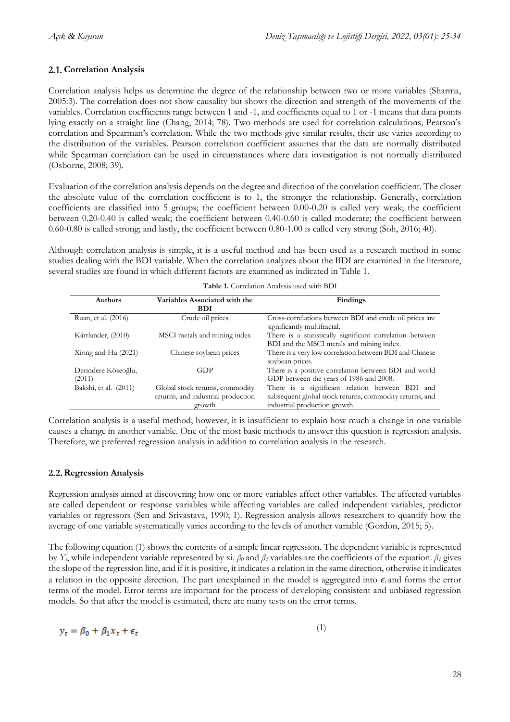# **Correlation Analysis**

Correlation analysis helps us determine the degree of the relationship between two or more variables (Sharma, 2005:3). The correlation does not show causality but shows the direction and strength of the movements of the variables. Correlation coefficients range between 1 and -1, and coefficients equal to 1 or -1 means that data points lying exactly on a straight line (Chang, 2014; 78). Two methods are used for correlation calculations; Pearson's correlation and Spearman's correlation. While the two methods give similar results, their use varies according to the distribution of the variables. Pearson correlation coefficient assumes that the data are normally distributed while Spearman correlation can be used in circumstances where data investigation is not normally distributed (Osborne, 2008; 39).

Evaluation of the correlation analysis depends on the degree and direction of the correlation coefficient. The closer the absolute value of the correlation coefficient is to 1, the stronger the relationship. Generally, correlation coefficients are classified into 5 groups; the coefficient between 0.00-0.20 is called very weak; the coefficient between 0.20-0.40 is called weak; the coefficient between 0.40-0.60 is called moderate; the coefficient between 0.60-0.80 is called strong; and lastly, the coefficient between 0.80-1.00 is called very strong (Soh, 2016; 40).

Although correlation analysis is simple, it is a useful method and has been used as a research method in some studies dealing with the BDI variable. When the correlation analyzes about the BDI are examined in the literature, several studies are found in which different factors are examined as indicated in Table 1.

| <b>Authors</b>                | Variables Associated with the<br><b>BDI</b>                                     | Findings                                                                                                                                    |
|-------------------------------|---------------------------------------------------------------------------------|---------------------------------------------------------------------------------------------------------------------------------------------|
| Ruan, et al. (2016)           | Crude oil prices                                                                | Cross-correlations between BDI and crude oil prices are<br>significantly multifractal.                                                      |
| Kärrlander, (2010)            | MSCI metals and mining index                                                    | There is a statistically significant correlation between<br>BDI and the MSCI metals and mining index.                                       |
| Xiong and Hu (2021)           | Chinese soybean prices                                                          | There is a very low correlation between BDI and Chinese<br>soybean prices.                                                                  |
| Derindere Köseoğlu,<br>(2011) | GDP                                                                             | There is a positive correlation between BDI and world<br>GDP between the years of 1986 and 2008.                                            |
| Bakshi, et al. (2011)         | Global stock returns, commodity<br>returns, and industrial production<br>growth | There is a significant relation between BDI and<br>subsequent global stock returns, commodity returns, and<br>industrial production growth. |

| Table 1. Correlation Analysis used with BDI |  |  |
|---------------------------------------------|--|--|
|                                             |  |  |

Correlation analysis is a useful method; however, it is insufficient to explain how much a change in one variable causes a change in another variable. One of the most basic methods to answer this question is regression analysis. Therefore, we preferred regression analysis in addition to correlation analysis in the research.

## **Regression Analysis**

Regression analysis aimed at discovering how one or more variables affect other variables. The affected variables are called dependent or response variables while affecting variables are called independent variables, predictor variables or regressors (Sen and Srivastava, 1990; 1). Regression analysis allows researchers to quantify how the average of one variable systematically varies according to the levels of another variable (Gordon, 2015; 5).

The following equation (1) shows the contents of a simple linear regression. The dependent variable is represented by *Yt*, while independent variable represented by xi. *β<sup>0</sup>* and *β<sup>1</sup>* variables are the coefficients of the equation. *β<sup>1</sup>* gives the slope of the regression line, and if it is positive, it indicates a relation in the same direction, otherwise it indicates a relation in the opposite direction. The part unexplained in the model is aggregated into *ϵ<sup>t</sup>* and forms the error terms of the model. Error terms are important for the process of developing consistent and unbiased regression models. So that after the model is estimated, there are many tests on the error terms.

$$
y_t = \beta_0 + \beta_1 x_t + \epsilon_t \tag{1}
$$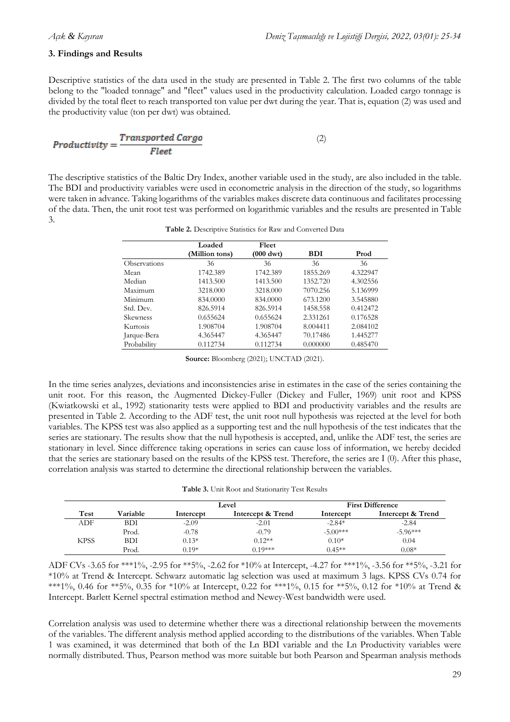## **3. Findings and Results**

Descriptive statistics of the data used in the study are presented in Table 2. The first two columns of the table belong to the "loaded tonnage" and "fleet" values used in the productivity calculation. Loaded cargo tonnage is divided by the total fleet to reach transported ton value per dwt during the year. That is, equation (2) was used and the productivity value (ton per dwt) was obtained.

$$
Productivity = \frac{Transported \; Cargo}{Fleet} \tag{2}
$$

The descriptive statistics of the Baltic Dry Index, another variable used in the study, are also included in the table. The BDI and productivity variables were used in econometric analysis in the direction of the study, so logarithms were taken in advance. Taking logarithms of the variables makes discrete data continuous and facilitates processing of the data. Then, the unit root test was performed on logarithmic variables and the results are presented in Table 3.

|              | Loaded         | Fleet               |            |          |
|--------------|----------------|---------------------|------------|----------|
|              | (Million tons) | $(000 \text{ dwt})$ | <b>BDI</b> | Prod     |
| Observations | 36             | 36                  | 36         | 36       |
| Mean         | 1742.389       | 1742.389            | 1855.269   | 4.322947 |
| Median       | 1413.500       | 1413.500            | 1352.720   | 4.302556 |
| Maximum      | 3218.000       | 3218.000            | 7070.256   | 5.136999 |
| Minimum      | 834,0000       | 834.0000            | 673.1200   | 3.545880 |
| Std. Dev.    | 826.5914       | 826.5914            | 1458.558   | 0.412472 |
| Skewness     | 0.655624       | 0.655624            | 2.331261   | 0.176528 |
| Kurtosis     | 1.908704       | 1.908704            | 8.004411   | 2.084102 |
| Jarque-Bera  | 4.365447       | 4.365447            | 70.17486   | 1.445277 |
| Probability  | 0.112734       | 0.112734            | 0.000000   | 0.485470 |

**Table 2.** Descriptive Statistics for Raw and Converted Data

**Source:** Bloomberg (2021); UNCTAD (2021).

In the time series analyzes, deviations and inconsistencies arise in estimates in the case of the series containing the unit root. For this reason, the Augmented Dickey-Fuller (Dickey and Fuller, 1969) unit root and KPSS (Kwiatkowski et al., 1992) stationarity tests were applied to BDI and productivity variables and the results are presented in Table 2. According to the ADF test, the unit root null hypothesis was rejected at the level for both variables. The KPSS test was also applied as a supporting test and the null hypothesis of the test indicates that the series are stationary. The results show that the null hypothesis is accepted, and, unlike the ADF test, the series are stationary in level. Since difference taking operations in series can cause loss of information, we hereby decided that the series are stationary based on the results of the KPSS test. Therefore, the series are I (0). After this phase, correlation analysis was started to determine the directional relationship between the variables.

| Table 3. Unit Root and Stationarity Test Results |  |  |
|--------------------------------------------------|--|--|
|--------------------------------------------------|--|--|

|      |            |           | Level             |            | <b>First Difference</b> |
|------|------------|-----------|-------------------|------------|-------------------------|
| Test | Variable   | Intercept | Intercept & Trend | Intercept  | Intercept & Trend       |
| ADF  | <b>BDI</b> | $-2.09$   | $-2.01$           | $-2.84*$   | $-2.84$                 |
|      | Prod.      | $-0.78$   | $-0.79$           | $-5.00***$ | $-5.96***$              |
| KPSS | <b>BDI</b> | $0.13*$   | $0.12**$          | $0.10*$    | 0.04                    |
|      | Prod.      | $0.19*$   | $0.19***$         | $0.45**$   | $0.08*$                 |

ADF CVs -3.65 for \*\*\*1%, -2.95 for \*\*5%, -2.62 for \*10% at Intercept, -4.27 for \*\*\*1%, -3.56 for \*\*5%, -3.21 for \*10% at Trend & Intercept. Schwarz automatic lag selection was used at maximum 3 lags. KPSS CVs 0.74 for \*\*\*1%, 0.46 for \*\*5%, 0.35 for \*10% at Intercept, 0.22 for \*\*\*1%, 0.15 for \*\*5%, 0.12 for \*10% at Trend & Intercept. Barlett Kernel spectral estimation method and Newey-West bandwidth were used.

Correlation analysis was used to determine whether there was a directional relationship between the movements of the variables. The different analysis method applied according to the distributions of the variables. When Table 1 was examined, it was determined that both of the Ln BDI variable and the Ln Productivity variables were normally distributed. Thus, Pearson method was more suitable but both Pearson and Spearman analysis methods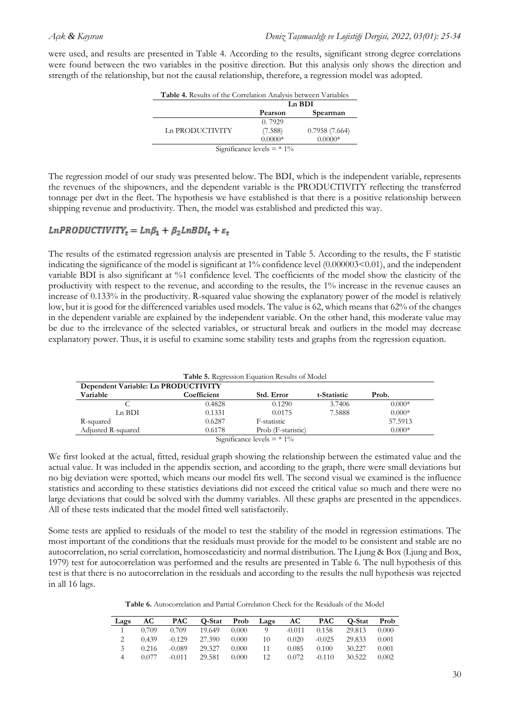were used, and results are presented in Table 4. According to the results, significant strong degree correlations were found between the two variables in the positive direction. But this analysis only shows the direction and strength of the relationship, but not the causal relationship, therefore, a regression model was adopted.

|                              | Ln BDI    |               |  |  |  |
|------------------------------|-----------|---------------|--|--|--|
|                              | Pearson   | Spearman      |  |  |  |
|                              | 0.7929    |               |  |  |  |
| Ln PRODUCTIVITY              | (7.588)   | 0.7958(7.664) |  |  |  |
|                              | $0.0000*$ | $0.0000*$     |  |  |  |
| Significance levels $=$ * 1% |           |               |  |  |  |

The regression model of our study was presented below. The BDI, which is the independent variable, represents the revenues of the shipowners, and the dependent variable is the PRODUCTIVITY reflecting the transferred tonnage per dwt in the fleet. The hypothesis we have established is that there is a positive relationship between shipping revenue and productivity. Then, the model was established and predicted this way.

## $LnPRODUCTIVITY<sub>t</sub> = Ln\beta_1 + \beta_2LnBDI_t + \varepsilon_t$

The results of the estimated regression analysis are presented in Table 5. According to the results, the F statistic indicating the significance of the model is significant at 1% confidence level (0.000003<0.01), and the independent variable BDI is also significant at %1 confidence level. The coefficients of the model show the elasticity of the productivity with respect to the revenue, and according to the results, the 1% increase in the revenue causes an increase of 0.133% in the productivity. R-squared value showing the explanatory power of the model is relatively low, but it is good for the differenced variables used models. The value is 62, which means that 62% of the changes in the dependent variable are explained by the independent variable. On the other hand, this moderate value may be due to the irrelevance of the selected variables, or structural break and outliers in the model may decrease explanatory power. Thus, it is useful to examine some stability tests and graphs from the regression equation.

| <b>Table 5.</b> Regression Equation Results of Model |             |                                                                   |             |          |  |  |  |  |
|------------------------------------------------------|-------------|-------------------------------------------------------------------|-------------|----------|--|--|--|--|
| Dependent Variable: Ln PRODUCTIVITY                  |             |                                                                   |             |          |  |  |  |  |
| Variable                                             | Coefficient | Std. Error                                                        | t-Statistic | Prob.    |  |  |  |  |
|                                                      | 0.4828      | 0.1290                                                            | 3.7406      | $0.000*$ |  |  |  |  |
| Ln BDI                                               | 0.1331      | 0.0175                                                            | 7.5888      | $0.000*$ |  |  |  |  |
| R-squared                                            | 0.6287      | F-statistic                                                       |             | 57.5913  |  |  |  |  |
| Adjusted R-squared                                   | 0.6178      | Prob (F-statistic)                                                |             | $0.000*$ |  |  |  |  |
|                                                      |             | $C: \ldots : C: \ldots : C: \ldots 1: \ldots 1: \ldots \times 40$ |             |          |  |  |  |  |

Significance levels  $=$  \* 1%

We first looked at the actual, fitted, residual graph showing the relationship between the estimated value and the actual value. It was included in the appendix section, and according to the graph, there were small deviations but no big deviation were spotted, which means our model fits well. The second visual we examined is the influence statistics and according to these statistics deviations did not exceed the critical value so much and there were no large deviations that could be solved with the dummy variables. All these graphs are presented in the appendices. All of these tests indicated that the model fitted well satisfactorily.

Some tests are applied to residuals of the model to test the stability of the model in regression estimations. The most important of the conditions that the residuals must provide for the model to be consistent and stable are no autocorrelation, no serial correlation, homoscedasticity and normal distribution. The Ljung & Box (Ljung and Box, 1979) test for autocorrelation was performed and the results are presented in Table 6. The null hypothesis of this test is that there is no autocorrelation in the residuals and according to the results the null hypothesis was rejected in all 16 lags.

**Table 6.** Autocorrelation and Partial Correlation Check for the Residuals of the Model

| Lags | AC.   | <b>PAC</b> | Q-Stat | Prob  | Lags | AC       | <b>PAC</b> | O-Stat | Prob  |
|------|-------|------------|--------|-------|------|----------|------------|--------|-------|
|      | 0.709 | 0.709      | 19.649 | 0.000 |      | $-0.011$ | 0.158      | 29.813 | 0.000 |
|      | 0.439 | $-0.129$   | 27.390 | 0.000 | 10   | 0.020    | $-0.025$   | 29.833 | 0.001 |
|      | 0.216 | $-0.089$   | 29.327 | 0.000 | 11   | 0.085    | 0.100      | 30.227 | 0.001 |
|      | 0.077 | $-0.011$   | 29.581 | 0.000 | 12   | 0.072    | $-0.110$   | 30.522 | 0.002 |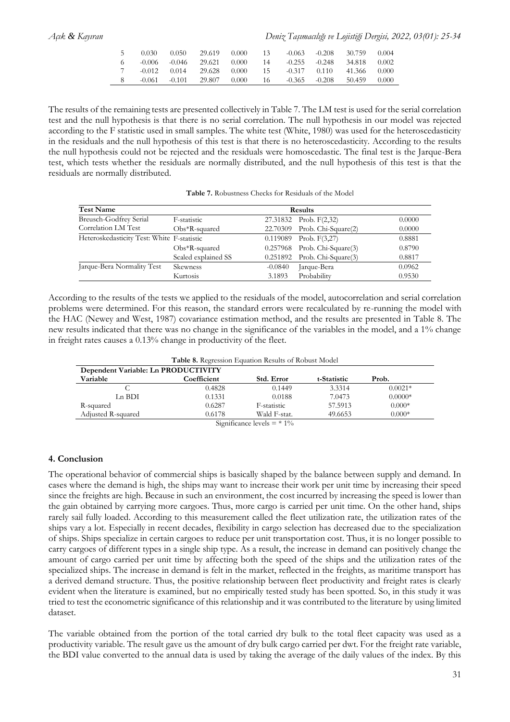*Açık & Kayıran Deniz Taşımacılığı ve Lojistiği Dergisi, 2022, 03(01): 25-34*

| -0.030- | - 0.050 - | 29.619                           | 0.000 | $\cdot$ 13 | $-0.063 - 0.208$ | 30.759                            | 0.004  |
|---------|-----------|----------------------------------|-------|------------|------------------|-----------------------------------|--------|
|         |           | $6 -0.006 -0.046 -29.621 -0.000$ |       |            |                  | $14 -0.255 -0.248 -34.818 -0.002$ |        |
|         |           | 7 -0.012 0.014 29.628 0.000      |       |            |                  | 15 -0.317 0.110 41.366 0.000      |        |
|         |           | 8 -0.061 -0.101 29.807 0.000     |       |            |                  | 16 -0.365 -0.208 50.459           | -0.000 |

The results of the remaining tests are presented collectively in Table 7. The LM test is used for the serial correlation test and the null hypothesis is that there is no serial correlation. The null hypothesis in our model was rejected according to the F statistic used in small samples. The white test (White, 1980) was used for the heteroscedasticity in the residuals and the null hypothesis of this test is that there is no heteroscedasticity. According to the results the null hypothesis could not be rejected and the residuals were homoscedastic. The final test is the Jarque-Bera test, which tests whether the residuals are normally distributed, and the null hypothesis of this test is that the residuals are normally distributed.

**Table 7.** Robustness Checks for Residuals of the Model

| <b>Test Name</b>                           |                     | <b>Results</b> |                                   |        |  |  |
|--------------------------------------------|---------------------|----------------|-----------------------------------|--------|--|--|
| Breusch-Godfrey Serial                     | F-statistic         |                | 27.31832 Prob. F(2,32)            | 0.0000 |  |  |
| Correlation LM Test                        | $Obs*R$ -squared    | 22.70309       | Prob. Chi-Square(2)               | 0.0000 |  |  |
| Heteroskedasticity Test: White F-statistic |                     | 0.119089       | Prob. $F(3,27)$                   | 0.8881 |  |  |
|                                            | $Obs*R$ -squared    |                | $0.257968$ Prob. Chi-Square $(3)$ | 0.8790 |  |  |
|                                            | Scaled explained SS | 0.251892       | Prob. Chi-Square(3)               | 0.8817 |  |  |
| Jarque-Bera Normality Test                 | <b>Skewness</b>     | $-0.0840$      | Jarque-Bera                       | 0.0962 |  |  |
|                                            | Kurtosis            | 3.1893         | Probability                       | 0.9530 |  |  |

According to the results of the tests we applied to the residuals of the model, autocorrelation and serial correlation problems were determined. For this reason, the standard errors were recalculated by re-running the model with the HAC (Newey and West, 1987) covariance estimation method, and the results are presented in Table 8. The new results indicated that there was no change in the significance of the variables in the model, and a 1% change in freight rates causes a 0.13% change in productivity of the fleet.

| Table 8. Regression Equation Results of Robust Model |  |
|------------------------------------------------------|--|
|------------------------------------------------------|--|

| Variable           | Coefficient | Std. Error   | t-Statistic | Prob.     |
|--------------------|-------------|--------------|-------------|-----------|
|                    | 0.4828      | 0.1449       | 3.3314      | $0.0021*$ |
| Ln BDI             | 0.1331      | 0.0188       | 7.0473      | $0.0000*$ |
| R-squared          | 0.6287      | F-statistic  | 57.5913     | $0.000*$  |
| Adjusted R-squared | 0.6178      | Wald F-stat. | 49.6653     | $0.000*$  |

### **4. Conclusion**

The operational behavior of commercial ships is basically shaped by the balance between supply and demand. In cases where the demand is high, the ships may want to increase their work per unit time by increasing their speed since the freights are high. Because in such an environment, the cost incurred by increasing the speed is lower than the gain obtained by carrying more cargoes. Thus, more cargo is carried per unit time. On the other hand, ships rarely sail fully loaded. According to this measurement called the fleet utilization rate, the utilization rates of the ships vary a lot. Especially in recent decades, flexibility in cargo selection has decreased due to the specialization of ships. Ships specialize in certain cargoes to reduce per unit transportation cost. Thus, it is no longer possible to carry cargoes of different types in a single ship type. As a result, the increase in demand can positively change the amount of cargo carried per unit time by affecting both the speed of the ships and the utilization rates of the specialized ships. The increase in demand is felt in the market, reflected in the freights, as maritime transport has a derived demand structure. Thus, the positive relationship between fleet productivity and freight rates is clearly evident when the literature is examined, but no empirically tested study has been spotted. So, in this study it was tried to test the econometric significance of this relationship and it was contributed to the literature by using limited dataset.

The variable obtained from the portion of the total carried dry bulk to the total fleet capacity was used as a productivity variable. The result gave us the amount of dry bulk cargo carried per dwt. For the freight rate variable, the BDI value converted to the annual data is used by taking the average of the daily values of the index. By this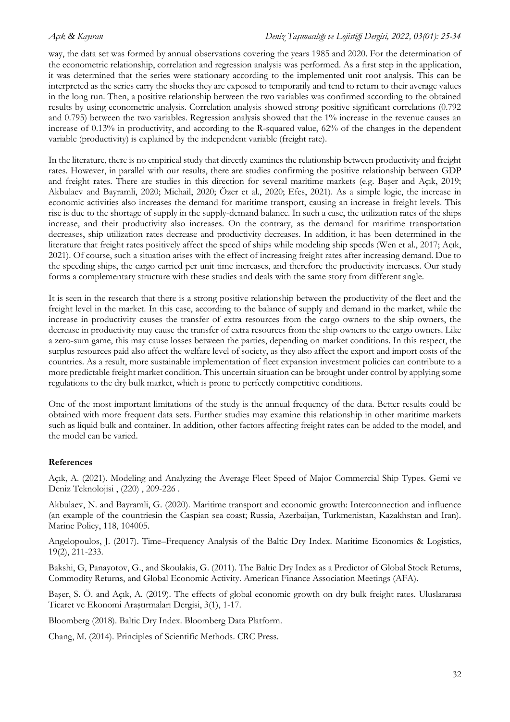way, the data set was formed by annual observations covering the years 1985 and 2020. For the determination of the econometric relationship, correlation and regression analysis was performed. As a first step in the application, it was determined that the series were stationary according to the implemented unit root analysis. This can be interpreted as the series carry the shocks they are exposed to temporarily and tend to return to their average values in the long run. Then, a positive relationship between the two variables was confirmed according to the obtained results by using econometric analysis. Correlation analysis showed strong positive significant correlations (0.792 and 0.795) between the two variables. Regression analysis showed that the 1% increase in the revenue causes an increase of 0.13% in productivity, and according to the R-squared value, 62% of the changes in the dependent variable (productivity) is explained by the independent variable (freight rate).

In the literature, there is no empirical study that directly examines the relationship between productivity and freight rates. However, in parallel with our results, there are studies confirming the positive relationship between GDP and freight rates. There are studies in this direction for several maritime markets (e.g. Başer and Açık, 2019; Akbulaev and Bayramli, 2020; Michail, 2020; Özer et al., 2020; Efes, 2021). As a simple logic, the increase in economic activities also increases the demand for maritime transport, causing an increase in freight levels. This rise is due to the shortage of supply in the supply-demand balance. In such a case, the utilization rates of the ships increase, and their productivity also increases. On the contrary, as the demand for maritime transportation decreases, ship utilization rates decrease and productivity decreases. In addition, it has been determined in the literature that freight rates positively affect the speed of ships while modeling ship speeds (Wen et al., 2017; Açık, 2021). Of course, such a situation arises with the effect of increasing freight rates after increasing demand. Due to the speeding ships, the cargo carried per unit time increases, and therefore the productivity increases. Our study forms a complementary structure with these studies and deals with the same story from different angle.

It is seen in the research that there is a strong positive relationship between the productivity of the fleet and the freight level in the market. In this case, according to the balance of supply and demand in the market, while the increase in productivity causes the transfer of extra resources from the cargo owners to the ship owners, the decrease in productivity may cause the transfer of extra resources from the ship owners to the cargo owners. Like a zero-sum game, this may cause losses between the parties, depending on market conditions. In this respect, the surplus resources paid also affect the welfare level of society, as they also affect the export and import costs of the countries. As a result, more sustainable implementation of fleet expansion investment policies can contribute to a more predictable freight market condition. This uncertain situation can be brought under control by applying some regulations to the dry bulk market, which is prone to perfectly competitive conditions.

One of the most important limitations of the study is the annual frequency of the data. Better results could be obtained with more frequent data sets. Further studies may examine this relationship in other maritime markets such as liquid bulk and container. In addition, other factors affecting freight rates can be added to the model, and the model can be varied.

## **References**

Açık, A. (2021). Modeling and Analyzing the Average Fleet Speed of Major Commercial Ship Types. Gemi ve Deniz Teknolojisi , (220) , 209-226 .

Akbulaev, N. and Bayramli, G. (2020). Maritime transport and economic growth: Interconnection and influence (an example of the countriesin the Caspian sea coast; Russia, Azerbaijan, Turkmenistan, Kazakhstan and Iran). Marine Policy, 118, 104005.

Angelopoulos, J. (2017). Time–Frequency Analysis of the Baltic Dry Index. Maritime Economics & Logistics*,* 19(2), 211-233.

Bakshi, G, Panayotov, G., and Skoulakis, G. (2011). The Baltic Dry Index as a Predictor of Global Stock Returns, Commodity Returns, and Global Economic Activity. American Finance Association Meetings (AFA).

Başer, S. Ö. and Açık, A. (2019). The effects of global economic growth on dry bulk freight rates. Uluslararası Ticaret ve Ekonomi Araştırmaları Dergisi, 3(1), 1-17.

Bloomberg (2018). Baltic Dry Index. Bloomberg Data Platform.

Chang, M. (2014). Principles of Scientific Methods. CRC Press.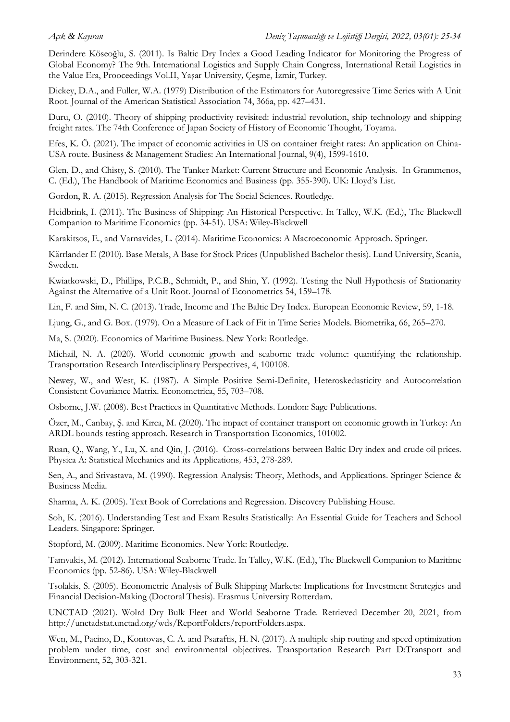Derindere Köseoğlu, S. (2011). Is Baltic Dry Index a Good Leading Indicator for Monitoring the Progress of Global Economy? The 9th. International Logistics and Supply Chain Congress, International Retail Logistics in the Value Era, Prooceedings Vol.II, Yaşar University*,* Çeşme, İzmir, Turkey.

Dickey, D.A., and Fuller, W.A. (1979) Distribution of the Estimators for Autoregressive Time Series with A Unit Root. Journal of the American Statistical Association 74, 366a, pp. 427–431.

Duru, O. (2010). Theory of shipping productivity revisited: industrial revolution, ship technology and shipping freight rates. The 74th Conference of Japan Society of History of Economic Thought*,* Toyama.

Efes, K. Ö. (2021). The impact of economic activities in US on container freight rates: An application on China-USA route. Business & Management Studies: An International Journal, 9(4), 1599-1610.

Glen, D., and Chisty, S. (2010). The Tanker Market: Current Structure and Economic Analysis. In Grammenos, C. (Ed.), The Handbook of Maritime Economics and Business (pp. 355-390). UK: Lloyd's List.

Gordon, R. A. (2015). Regression Analysis for The Social Sciences. Routledge.

Heidbrink, I. (2011). The Business of Shipping: An Historical Perspective. In Talley, W.K. (Ed.), The Blackwell Companion to Maritime Economics (pp. 34-51). USA: Wiley-Blackwell

Karakitsos, E., and Varnavides, L. (2014). Maritime Economics: A Macroeconomic Approach. Springer.

Kärrlander E (2010). Base Metals, A Base for Stock Prices (Unpublished Bachelor thesis). Lund University, Scania, Sweden.

Kwiatkowski, D., Phillips, P.C.B., Schmidt, P., and Shin, Y. (1992). Testing the Null Hypothesis of Stationarity Against the Alternative of a Unit Root. Journal of Econometrics 54, 159–178.

Lin, F. and Sim, N. C. (2013). Trade, Income and The Baltic Dry Index. European Economic Review, 59, 1-18.

Ljung, G., and G. Box. (1979). On a Measure of Lack of Fit in Time Series Models. Biometrika, 66, 265–270.

Ma, S. (2020). Economics of Maritime Business. New York: Routledge.

Michail, N. A. (2020). World economic growth and seaborne trade volume: quantifying the relationship. Transportation Research Interdisciplinary Perspectives, 4, 100108.

Newey, W., and West, K. (1987). A Simple Positive Semi-Definite, Heteroskedasticity and Autocorrelation Consistent Covariance Matrix. Econometrica, 55, 703–708.

Osborne, J.W. (2008). Best Practices in Quantitative Methods. London: Sage Publications.

Özer, M., Canbay, Ş. and Kırca, M. (2020). The impact of container transport on economic growth in Turkey: An ARDL bounds testing approach. Research in Transportation Economics, 101002.

Ruan, Q., Wang, Y., Lu, X. and Qin, J. (2016). Cross-correlations between Baltic Dry index and crude oil prices. Physica A: Statistical Mechanics and its Applications*,* 453, 278-289.

Sen, A., and Srivastava, M. (1990). Regression Analysis: Theory, Methods, and Applications. Springer Science & Business Media.

Sharma, A. K. (2005). Text Book of Correlations and Regression. Discovery Publishing House.

Soh, K. (2016). Understanding Test and Exam Results Statistically: An Essential Guide for Teachers and School Leaders. Singapore: Springer.

Stopford, M. (2009). Maritime Economics. New York: Routledge.

Tamvakis, M. (2012). International Seaborne Trade. In Talley, W.K. (Ed.), The Blackwell Companion to Maritime Economics (pp. 52-86). USA: Wiley-Blackwell

Tsolakis, S. (2005). Econometric Analysis of Bulk Shipping Markets: Implications for Investment Strategies and Financial Decision-Making (Doctoral Thesis). Erasmus University Rotterdam.

UNCTAD (2021). Wolrd Dry Bulk Fleet and World Seaborne Trade. Retrieved December 20, 2021, from http://unctadstat.unctad.org/wds/ReportFolders/reportFolders.aspx.

Wen, M., Pacino, D., Kontovas, C. A. and Psaraftis, H. N. (2017). A multiple ship routing and speed optimization problem under time, cost and environmental objectives. Transportation Research Part D:Transport and Environment, 52, 303-321.